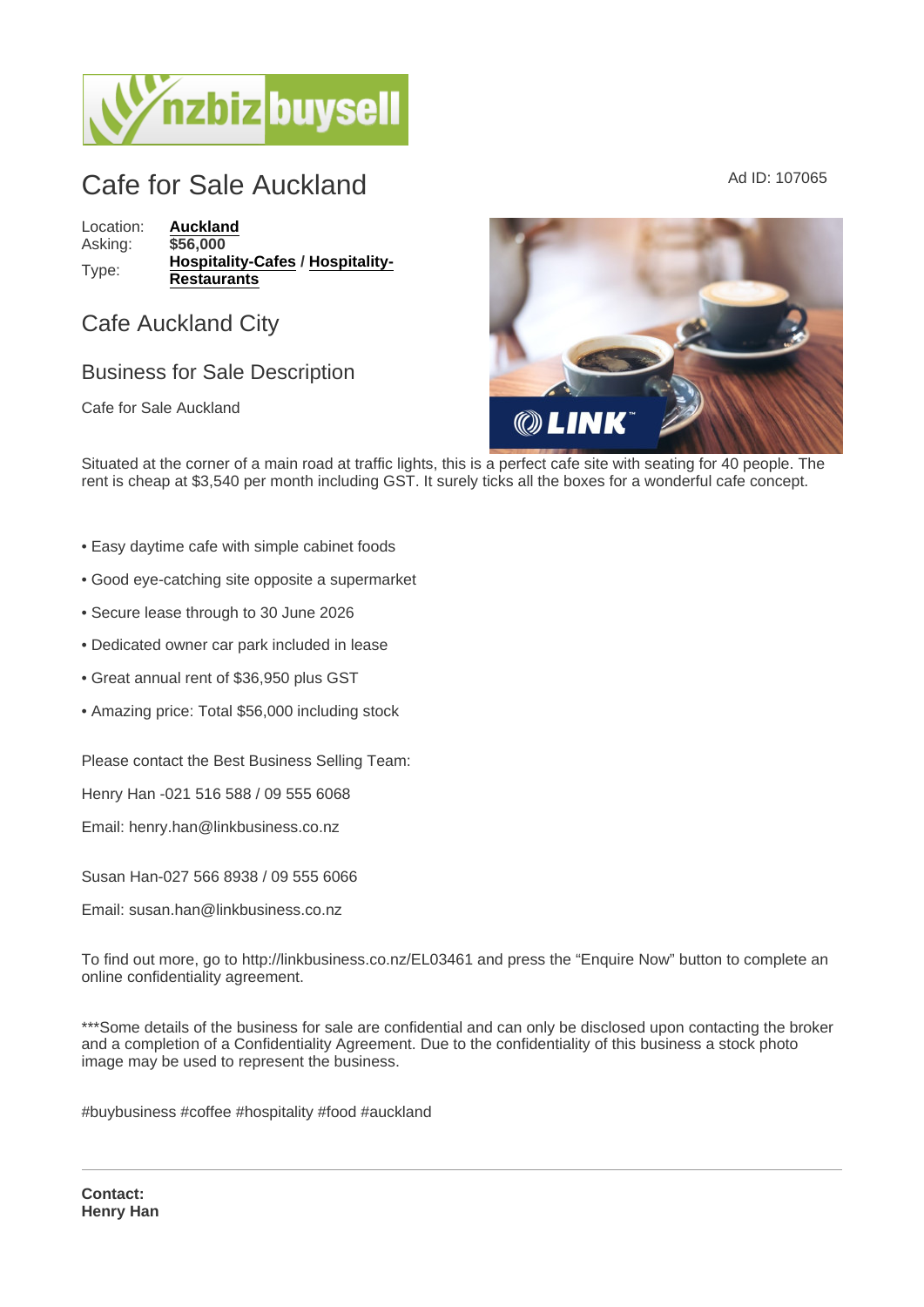## Cafe for Sale Auckland Ad ID: 107065

Location: [Auckland](https://www.nzbizbuysell.co.nz/businesses-for-sale/location/Auckland) Asking: \$56,000 Type: [Hospitality-Cafes](https://www.nzbizbuysell.co.nz/businesses-for-sale/Cafes/New-Zealand) / [Hospitality-](https://www.nzbizbuysell.co.nz/businesses-for-sale/Restaurants/New-Zealand)**[Restaurants](https://www.nzbizbuysell.co.nz/businesses-for-sale/Restaurants/New-Zealand)** 

Cafe Auckland City

## Business for Sale Description

Cafe for Sale Auckland

Situated at the corner of a main road at traffic lights, this is a perfect cafe site with seating for 40 people. The rent is cheap at \$3,540 per month including GST. It surely ticks all the boxes for a wonderful cafe concept.

- Easy daytime cafe with simple cabinet foods
- Good eye-catching site opposite a supermarket
- Secure lease through to 30 June 2026
- Dedicated owner car park included in lease
- Great annual rent of \$36,950 plus GST
- Amazing price: Total \$56,000 including stock

Please contact the Best Business Selling Team:

Henry Han -021 516 588 / 09 555 6068

Email: henry.han@linkbusiness.co.nz

Susan Han-027 566 8938 / 09 555 6066

Email: susan.han@linkbusiness.co.nz

To find out more, go to http://linkbusiness.co.nz/EL03461 and press the "Enquire Now" button to complete an online confidentiality agreement.

\*\*\*Some details of the business for sale are confidential and can only be disclosed upon contacting the broker and a completion of a Confidentiality Agreement. Due to the confidentiality of this business a stock photo image may be used to represent the business.

#buybusiness #coffee #hospitality #food #auckland

Contact: Henry Han